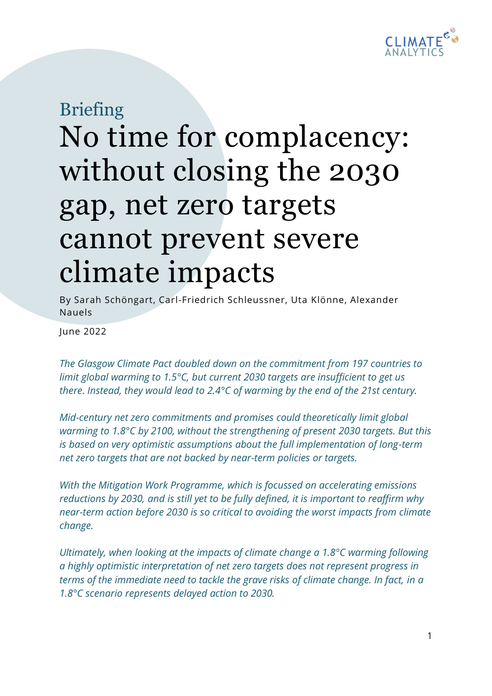

## Briefing No time for complacency: without closing the 2030 gap, net zero targets cannot prevent severe climate impacts

By Sarah Schöngart, Carl-Friedrich Schleussner, Uta Klönne, Alexander Nauels

June 2022

*The Glasgow Climate Pact doubled down on the commitment from 197 countries to limit global warming to 1.5°C, but current 2030 targets are insufficient to get us there. Instead, they would lead to 2.4°C of warming by the end of the 21st century.* 

*Mid-century net zero commitments and promises could theoretically limit global warming to 1.8°C by 2100, without the strengthening of present 2030 targets. But this is based on very optimistic assumptions about the full implementation of long-term net zero targets that are not backed by near-term policies or targets.* 

*With the Mitigation Work Programme, which is focussed on accelerating emissions reductions by 2030, and is still yet to be fully defined, it is important to reaffirm why near-term action before 2030 is so critical to avoiding the worst impacts from climate change.*

*Ultimately, when looking at the impacts of climate change a 1.8°C warming following a highly optimistic interpretation of net zero targets does not represent progress in terms of the immediate need to tackle the grave risks of climate change. In fact, in a 1.8°C scenario represents delayed action to 2030.*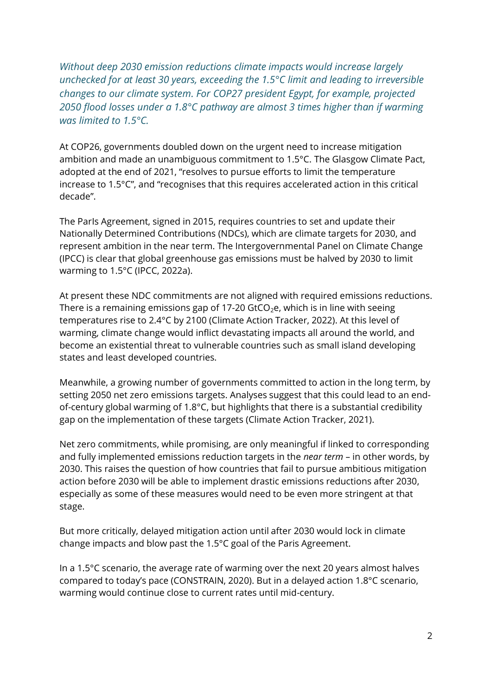*Without deep 2030 emission reductions climate impacts would increase largely unchecked for at least 30 years, exceeding the 1.5°C limit and leading to irreversible changes to our climate system. For COP27 president Egypt, for example, projected 2050 flood losses under a 1.8°C pathway are almost 3 times higher than if warming was limited to 1.5°C.* 

At COP26, governments doubled down on the urgent need to increase mitigation ambition and made an unambiguous commitment to 1.5°C. The Glasgow Climate Pact, adopted at the end of 2021, "resolves to pursue efforts to limit the temperature increase to 1.5°C", and "recognises that this requires accelerated action in this critical decade".

The ParIs Agreement, signed in 2015, requires countries to set and update their Nationally Determined Contributions (NDCs), which are climate targets for 2030, and represent ambition in the near term. The Intergovernmental Panel on Climate Change (IPCC) is clear that global greenhouse gas emissions must be halved by 2030 to limit warming to 1.5°C (IPCC, 2022a).

At present these NDC commitments are not aligned with required emissions reductions. There is a remaining emissions gap of 17-20 GtCO<sub>2</sub>e, which is in line with seeing temperatures rise to 2.4°C by 2100 (Climate Action Tracker, 2022). At this level of warming, climate change would inflict devastating impacts all around the world, and become an existential threat to vulnerable countries such as small island developing states and least developed countries.

Meanwhile, a growing number of governments committed to action in the long term, by setting 2050 net zero emissions targets. Analyses suggest that this could lead to an endof-century global warming of 1.8°C, but highlights that there is a substantial credibility gap on the implementation of these targets (Climate Action Tracker, 2021).

Net zero commitments, while promising, are only meaningful if linked to corresponding and fully implemented emissions reduction targets in the *near term* – in other words, by 2030. This raises the question of how countries that fail to pursue ambitious mitigation action before 2030 will be able to implement drastic emissions reductions after 2030, especially as some of these measures would need to be even more stringent at that stage.

But more critically, delayed mitigation action until after 2030 would lock in climate change impacts and blow past the 1.5°C goal of the Paris Agreement.

In a 1.5°C scenario, the average rate of warming over the next 20 years almost halves compared to today's pace (CONSTRAIN, 2020). But in a delayed action 1.8°C scenario, warming would continue close to current rates until mid-century.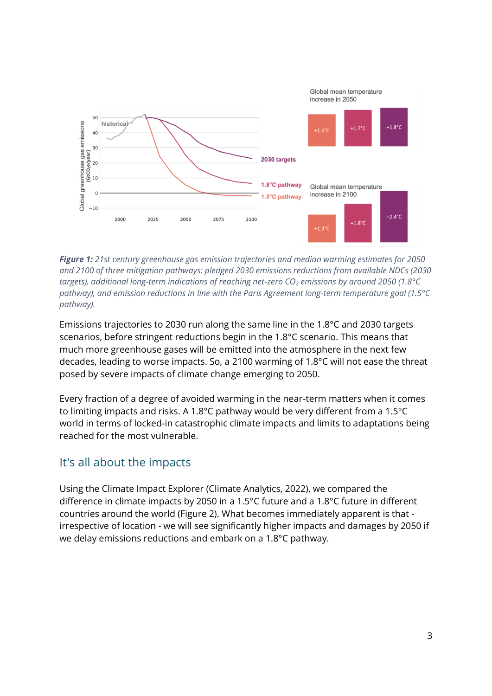

*Figure 1: 21st century greenhouse gas emission trajectories and median warming estimates for 2050 and 2100 of three mitigation pathways: pledged 2030 emissions reductions from available NDCs (2030 targets), additional long-term indications of reaching net-zero CO<sup>2</sup> emissions by around 2050 (1.8°C pathway), and emission reductions in line with the Paris Agreement long-term temperature goal (1.5°C pathway).* 

Emissions trajectories to 2030 run along the same line in the 1.8°C and 2030 targets scenarios, before stringent reductions begin in the 1.8°C scenario. This means that much more greenhouse gases will be emitted into the atmosphere in the next few decades, leading to worse impacts. So, a 2100 warming of 1.8°C will not ease the threat posed by severe impacts of climate change emerging to 2050.

Every fraction of a degree of avoided warming in the near-term matters when it comes to limiting impacts and risks. A 1.8°C pathway would be very different from a 1.5°C world in terms of locked-in catastrophic climate impacts and limits to adaptations being reached for the most vulnerable.

## It's all about the impacts

Using the Climate Impact Explorer (Climate Analytics, 2022), we compared the difference in climate impacts by 2050 in a 1.5°C future and a 1.8°C future in different countries around the world (Figure 2). What becomes immediately apparent is that irrespective of location - we will see significantly higher impacts and damages by 2050 if we delay emissions reductions and embark on a 1.8°C pathway.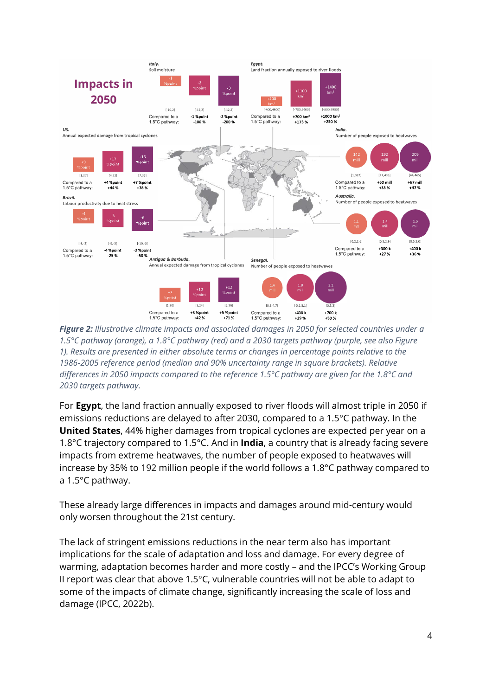

*Figure 2: Illustrative climate impacts and associated damages in 2050 for selected countries under a 1.5°C pathway (orange), a 1.8°C pathway (red) and a 2030 targets pathway (purple, see also Figure 1). Results are presented in either absolute terms or changes in percentage points relative to the 1986-2005 reference period (median and 90% uncertainty range in square brackets). Relative differences in 2050 impacts compared to the reference 1.5°C pathway are given for the 1.8°C and 2030 targets pathway.*

For **Egypt**, the land fraction annually exposed to river floods will almost triple in 2050 if emissions reductions are delayed to after 2030, compared to a 1.5°C pathway. In the **United States**, 44% higher damages from tropical cyclones are expected per year on a 1.8°C trajectory compared to 1.5°C. And in **India**, a country that is already facing severe impacts from extreme heatwaves, the number of people exposed to heatwaves will increase by 35% to 192 million people if the world follows a 1.8°C pathway compared to a 1.5°C pathway.

These already large differences in impacts and damages around mid-century would only worsen throughout the 21st century.

The lack of stringent emissions reductions in the near term also has important implications for the scale of adaptation and loss and damage. For every degree of warming, adaptation becomes harder and more costly – and the IPCC's Working Group II report was clear that above 1.5°C, vulnerable countries will not be able to adapt to some of the impacts of climate change, significantly increasing the scale of loss and damage (IPCC, 2022b).